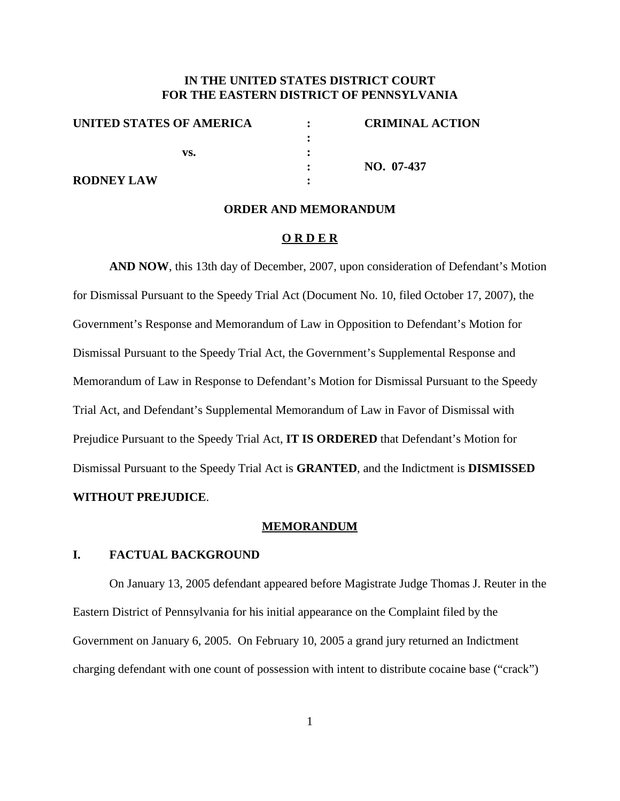# **IN THE UNITED STATES DISTRICT COURT FOR THE EASTERN DISTRICT OF PENNSYLVANIA**

| UNITED STATES OF AMERICA | <b>CRIMINAL ACTION</b> |
|--------------------------|------------------------|
|                          |                        |
| vs.                      |                        |
|                          | $NO. 07-437$           |
| <b>RODNEY LAW</b>        |                        |

#### **ORDER AND MEMORANDUM**

#### **O R D E R**

**AND NOW**, this 13th day of December, 2007, upon consideration of Defendant's Motion for Dismissal Pursuant to the Speedy Trial Act (Document No. 10, filed October 17, 2007), the Government's Response and Memorandum of Law in Opposition to Defendant's Motion for Dismissal Pursuant to the Speedy Trial Act, the Government's Supplemental Response and Memorandum of Law in Response to Defendant's Motion for Dismissal Pursuant to the Speedy Trial Act, and Defendant's Supplemental Memorandum of Law in Favor of Dismissal with Prejudice Pursuant to the Speedy Trial Act, **IT IS ORDERED** that Defendant's Motion for Dismissal Pursuant to the Speedy Trial Act is **GRANTED**, and the Indictment is **DISMISSED**

## **WITHOUT PREJUDICE**.

#### **MEMORANDUM**

## **I. FACTUAL BACKGROUND**

On January 13, 2005 defendant appeared before Magistrate Judge Thomas J. Reuter in the Eastern District of Pennsylvania for his initial appearance on the Complaint filed by the Government on January 6, 2005. On February 10, 2005 a grand jury returned an Indictment charging defendant with one count of possession with intent to distribute cocaine base ("crack")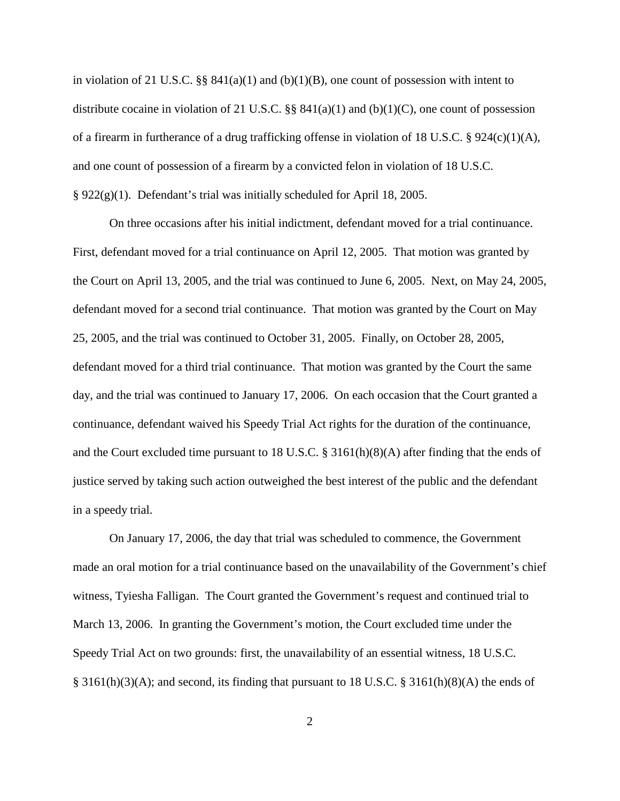in violation of 21 U.S.C.  $\S\S 841(a)(1)$  and  $(b)(1)(B)$ , one count of possession with intent to distribute cocaine in violation of 21 U.S.C. §§  $841(a)(1)$  and (b)(1)(C), one count of possession of a firearm in furtherance of a drug trafficking offense in violation of 18 U.S.C. § 924(c)(1)(A), and one count of possession of a firearm by a convicted felon in violation of 18 U.S.C. § 922(g)(1). Defendant's trial was initially scheduled for April 18, 2005.

On three occasions after his initial indictment, defendant moved for a trial continuance. First, defendant moved for a trial continuance on April 12, 2005. That motion was granted by the Court on April 13, 2005, and the trial was continued to June 6, 2005. Next, on May 24, 2005, defendant moved for a second trial continuance. That motion was granted by the Court on May 25, 2005, and the trial was continued to October 31, 2005. Finally, on October 28, 2005, defendant moved for a third trial continuance. That motion was granted by the Court the same day, and the trial was continued to January 17, 2006. On each occasion that the Court granted a continuance, defendant waived his Speedy Trial Act rights for the duration of the continuance, and the Court excluded time pursuant to 18 U.S.C. § 3161(h)(8)(A) after finding that the ends of justice served by taking such action outweighed the best interest of the public and the defendant in a speedy trial.

On January 17, 2006, the day that trial was scheduled to commence, the Government made an oral motion for a trial continuance based on the unavailability of the Government's chief witness, Tyiesha Falligan. The Court granted the Government's request and continued trial to March 13, 2006. In granting the Government's motion, the Court excluded time under the Speedy Trial Act on two grounds: first, the unavailability of an essential witness, 18 U.S.C. § 3161(h)(3)(A); and second, its finding that pursuant to 18 U.S.C. § 3161(h)(8)(A) the ends of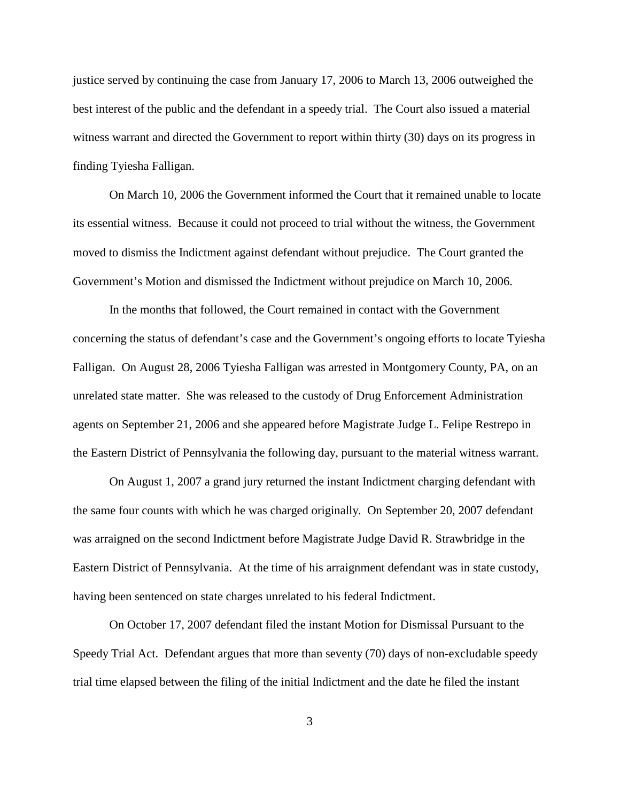justice served by continuing the case from January 17, 2006 to March 13, 2006 outweighed the best interest of the public and the defendant in a speedy trial. The Court also issued a material witness warrant and directed the Government to report within thirty (30) days on its progress in finding Tyiesha Falligan.

On March 10, 2006 the Government informed the Court that it remained unable to locate its essential witness. Because it could not proceed to trial without the witness, the Government moved to dismiss the Indictment against defendant without prejudice. The Court granted the Government's Motion and dismissed the Indictment without prejudice on March 10, 2006.

In the months that followed, the Court remained in contact with the Government concerning the status of defendant's case and the Government's ongoing efforts to locate Tyiesha Falligan. On August 28, 2006 Tyiesha Falligan was arrested in Montgomery County, PA, on an unrelated state matter. She was released to the custody of Drug Enforcement Administration agents on September 21, 2006 and she appeared before Magistrate Judge L. Felipe Restrepo in the Eastern District of Pennsylvania the following day, pursuant to the material witness warrant.

On August 1, 2007 a grand jury returned the instant Indictment charging defendant with the same four counts with which he was charged originally. On September 20, 2007 defendant was arraigned on the second Indictment before Magistrate Judge David R. Strawbridge in the Eastern District of Pennsylvania. At the time of his arraignment defendant was in state custody, having been sentenced on state charges unrelated to his federal Indictment.

On October 17, 2007 defendant filed the instant Motion for Dismissal Pursuant to the Speedy Trial Act. Defendant argues that more than seventy (70) days of non-excludable speedy trial time elapsed between the filing of the initial Indictment and the date he filed the instant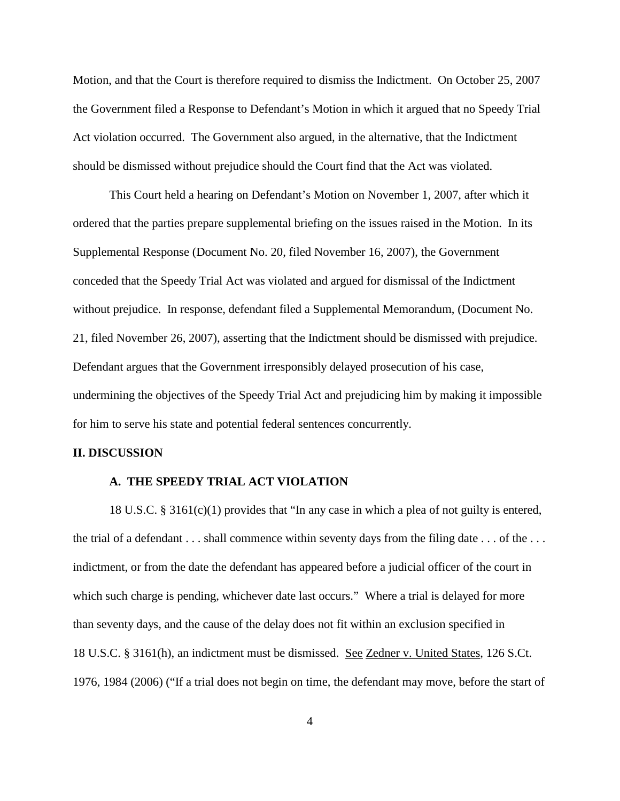Motion, and that the Court is therefore required to dismiss the Indictment. On October 25, 2007 the Government filed a Response to Defendant's Motion in which it argued that no Speedy Trial Act violation occurred. The Government also argued, in the alternative, that the Indictment should be dismissed without prejudice should the Court find that the Act was violated.

This Court held a hearing on Defendant's Motion on November 1, 2007, after which it ordered that the parties prepare supplemental briefing on the issues raised in the Motion. In its Supplemental Response (Document No. 20, filed November 16, 2007), the Government conceded that the Speedy Trial Act was violated and argued for dismissal of the Indictment without prejudice. In response, defendant filed a Supplemental Memorandum, (Document No. 21, filed November 26, 2007), asserting that the Indictment should be dismissed with prejudice. Defendant argues that the Government irresponsibly delayed prosecution of his case, undermining the objectives of the Speedy Trial Act and prejudicing him by making it impossible for him to serve his state and potential federal sentences concurrently.

### **II. DISCUSSION**

### **A. THE SPEEDY TRIAL ACT VIOLATION**

18 U.S.C. § 3161(c)(1) provides that "In any case in which a plea of not guilty is entered, the trial of a defendant . . . shall commence within seventy days from the filing date . . . of the . . . indictment, or from the date the defendant has appeared before a judicial officer of the court in which such charge is pending, whichever date last occurs." Where a trial is delayed for more than seventy days, and the cause of the delay does not fit within an exclusion specified in 18 U.S.C. § 3161(h), an indictment must be dismissed. See Zedner v. United States, 126 S.Ct. 1976, 1984 (2006) ("If a trial does not begin on time, the defendant may move, before the start of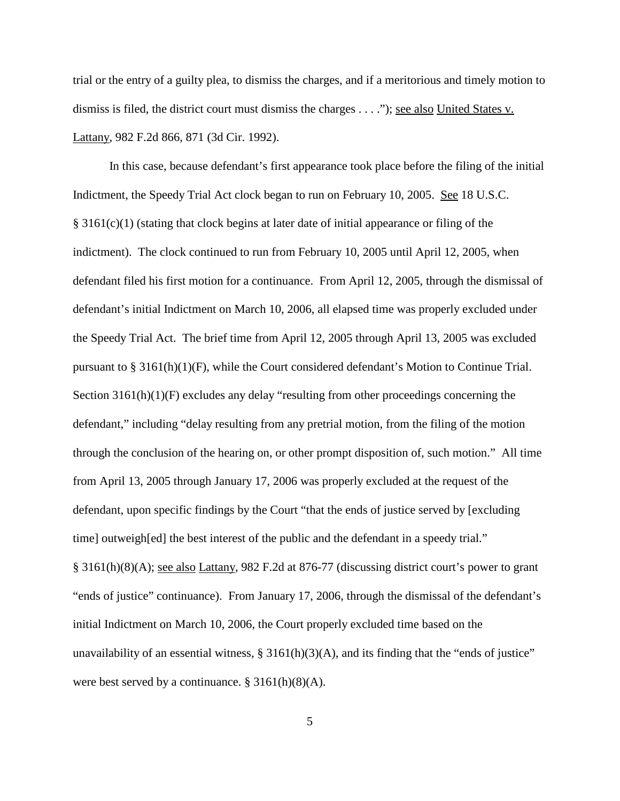trial or the entry of a guilty plea, to dismiss the charges, and if a meritorious and timely motion to dismiss is filed, the district court must dismiss the charges . . . ."); see also United States v. Lattany, 982 F.2d 866, 871 (3d Cir. 1992).

In this case, because defendant's first appearance took place before the filing of the initial Indictment, the Speedy Trial Act clock began to run on February 10, 2005. See 18 U.S.C.  $§$  3161(c)(1) (stating that clock begins at later date of initial appearance or filing of the indictment). The clock continued to run from February 10, 2005 until April 12, 2005, when defendant filed his first motion for a continuance. From April 12, 2005, through the dismissal of defendant's initial Indictment on March 10, 2006, all elapsed time was properly excluded under the Speedy Trial Act. The brief time from April 12, 2005 through April 13, 2005 was excluded pursuant to § 3161(h)(1)(F), while the Court considered defendant's Motion to Continue Trial. Section 3161(h)(1)(F) excludes any delay "resulting from other proceedings concerning the defendant," including "delay resulting from any pretrial motion, from the filing of the motion through the conclusion of the hearing on, or other prompt disposition of, such motion." All time from April 13, 2005 through January 17, 2006 was properly excluded at the request of the defendant, upon specific findings by the Court "that the ends of justice served by [excluding time] outweigh[ed] the best interest of the public and the defendant in a speedy trial." § 3161(h)(8)(A); see also Lattany, 982 F.2d at 876-77 (discussing district court's power to grant "ends of justice" continuance). From January 17, 2006, through the dismissal of the defendant's initial Indictment on March 10, 2006, the Court properly excluded time based on the unavailability of an essential witness,  $\S 3161(h)(3)(A)$ , and its finding that the "ends of justice" were best served by a continuance.  $\S 3161(h)(8)(A)$ .

5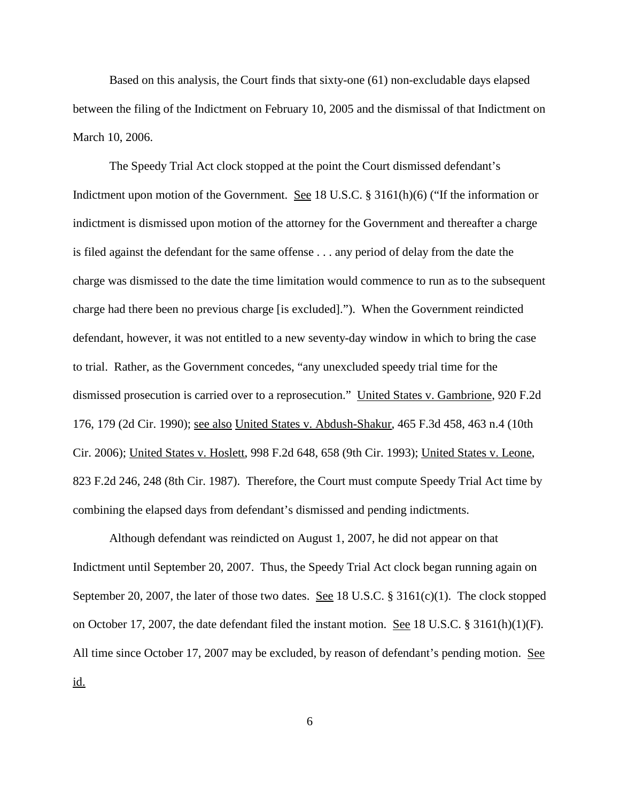Based on this analysis, the Court finds that sixty-one (61) non-excludable days elapsed between the filing of the Indictment on February 10, 2005 and the dismissal of that Indictment on March 10, 2006.

The Speedy Trial Act clock stopped at the point the Court dismissed defendant's Indictment upon motion of the Government. See 18 U.S.C. § 3161(h)(6) ("If the information or indictment is dismissed upon motion of the attorney for the Government and thereafter a charge is filed against the defendant for the same offense . . . any period of delay from the date the charge was dismissed to the date the time limitation would commence to run as to the subsequent charge had there been no previous charge [is excluded]."). When the Government reindicted defendant, however, it was not entitled to a new seventy-day window in which to bring the case to trial. Rather, as the Government concedes, "any unexcluded speedy trial time for the dismissed prosecution is carried over to a reprosecution." United States v. Gambrione, 920 F.2d 176, 179 (2d Cir. 1990); see also United States v. Abdush-Shakur, 465 F.3d 458, 463 n.4 (10th Cir. 2006); United States v. Hoslett, 998 F.2d 648, 658 (9th Cir. 1993); United States v. Leone, 823 F.2d 246, 248 (8th Cir. 1987). Therefore, the Court must compute Speedy Trial Act time by combining the elapsed days from defendant's dismissed and pending indictments.

Although defendant was reindicted on August 1, 2007, he did not appear on that Indictment until September 20, 2007. Thus, the Speedy Trial Act clock began running again on September 20, 2007, the later of those two dates. See 18 U.S.C.  $\S 3161(c)(1)$ . The clock stopped on October 17, 2007, the date defendant filed the instant motion. See 18 U.S.C. § 3161(h)(1)(F). All time since October 17, 2007 may be excluded, by reason of defendant's pending motion. See id.

6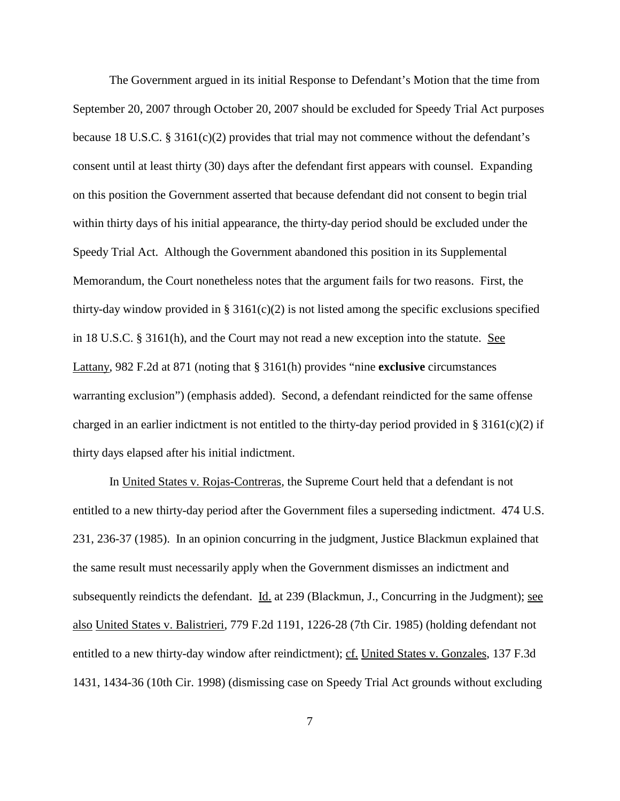The Government argued in its initial Response to Defendant's Motion that the time from September 20, 2007 through October 20, 2007 should be excluded for Speedy Trial Act purposes because 18 U.S.C.  $\S 3161(c)(2)$  provides that trial may not commence without the defendant's consent until at least thirty (30) days after the defendant first appears with counsel. Expanding on this position the Government asserted that because defendant did not consent to begin trial within thirty days of his initial appearance, the thirty-day period should be excluded under the Speedy Trial Act. Although the Government abandoned this position in its Supplemental Memorandum, the Court nonetheless notes that the argument fails for two reasons. First, the thirty-day window provided in § 3161(c)(2) is not listed among the specific exclusions specified in 18 U.S.C. § 3161(h), and the Court may not read a new exception into the statute. See Lattany, 982 F.2d at 871 (noting that § 3161(h) provides "nine **exclusive** circumstances warranting exclusion") (emphasis added). Second, a defendant reindicted for the same offense charged in an earlier indictment is not entitled to the thirty-day period provided in § 3161(c)(2) if thirty days elapsed after his initial indictment.

In United States v. Rojas-Contreras*,* the Supreme Court held that a defendant is not entitled to a new thirty-day period after the Government files a superseding indictment. 474 U.S. 231, 236-37 (1985). In an opinion concurring in the judgment, Justice Blackmun explained that the same result must necessarily apply when the Government dismisses an indictment and subsequently reindicts the defendant. Id. at 239 (Blackmun, J., Concurring in the Judgment); see also United States v. Balistrieri, 779 F.2d 1191, 1226-28 (7th Cir. 1985) (holding defendant not entitled to a new thirty-day window after reindictment); cf. United States v. Gonzales, 137 F.3d 1431, 1434-36 (10th Cir. 1998) (dismissing case on Speedy Trial Act grounds without excluding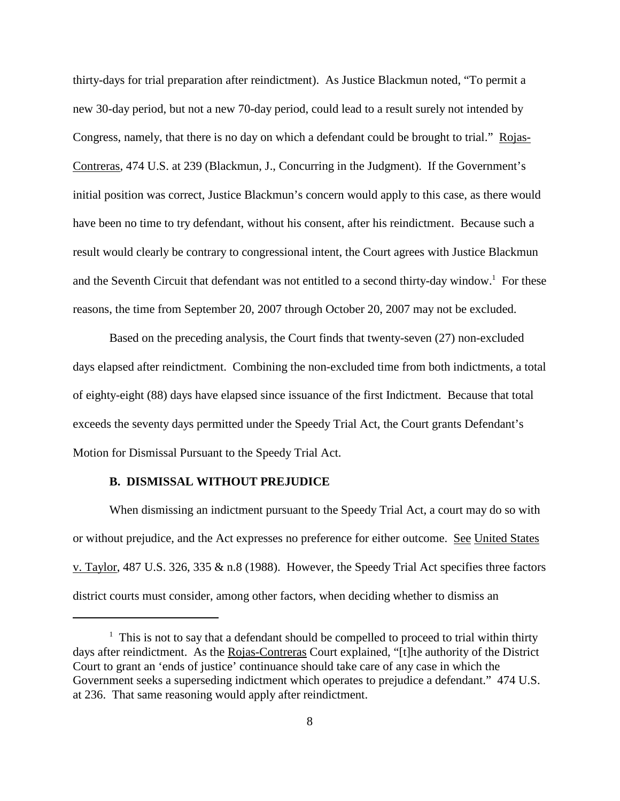thirty-days for trial preparation after reindictment). As Justice Blackmun noted, "To permit a new 30-day period, but not a new 70-day period, could lead to a result surely not intended by Congress, namely, that there is no day on which a defendant could be brought to trial." Rojas-Contreras, 474 U.S. at 239 (Blackmun, J., Concurring in the Judgment). If the Government's initial position was correct, Justice Blackmun's concern would apply to this case, as there would have been no time to try defendant, without his consent, after his reindictment. Because such a result would clearly be contrary to congressional intent, the Court agrees with Justice Blackmun and the Seventh Circuit that defendant was not entitled to a second thirty-day window.<sup>1</sup> For these reasons, the time from September 20, 2007 through October 20, 2007 may not be excluded.

Based on the preceding analysis, the Court finds that twenty-seven (27) non-excluded days elapsed after reindictment. Combining the non-excluded time from both indictments, a total of eighty-eight (88) days have elapsed since issuance of the first Indictment. Because that total exceeds the seventy days permitted under the Speedy Trial Act, the Court grants Defendant's Motion for Dismissal Pursuant to the Speedy Trial Act.

### **B. DISMISSAL WITHOUT PREJUDICE**

When dismissing an indictment pursuant to the Speedy Trial Act, a court may do so with or without prejudice, and the Act expresses no preference for either outcome. See United States v. Taylor, 487 U.S. 326, 335 & n.8 (1988). However, the Speedy Trial Act specifies three factors district courts must consider, among other factors, when deciding whether to dismiss an

 $1$  This is not to say that a defendant should be compelled to proceed to trial within thirty days after reindictment. As the Rojas-Contreras Court explained, "[t]he authority of the District Court to grant an 'ends of justice' continuance should take care of any case in which the Government seeks a superseding indictment which operates to prejudice a defendant." 474 U.S. at 236. That same reasoning would apply after reindictment.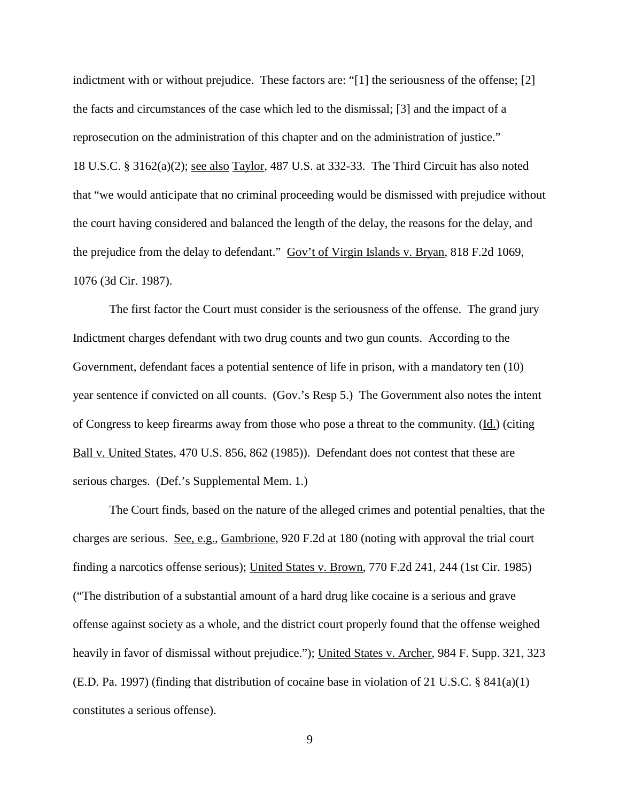indictment with or without prejudice. These factors are: "[1] the seriousness of the offense; [2] the facts and circumstances of the case which led to the dismissal; [3] and the impact of a reprosecution on the administration of this chapter and on the administration of justice." 18 U.S.C. § 3162(a)(2); see also Taylor, 487 U.S. at 332-33. The Third Circuit has also noted that "we would anticipate that no criminal proceeding would be dismissed with prejudice without the court having considered and balanced the length of the delay, the reasons for the delay, and the prejudice from the delay to defendant." Gov't of Virgin Islands v. Bryan, 818 F.2d 1069, 1076 (3d Cir. 1987).

The first factor the Court must consider is the seriousness of the offense. The grand jury Indictment charges defendant with two drug counts and two gun counts. According to the Government, defendant faces a potential sentence of life in prison, with a mandatory ten (10) year sentence if convicted on all counts. (Gov.'s Resp 5.) The Government also notes the intent of Congress to keep firearms away from those who pose a threat to the community. (Id.) (citing Ball v. United States, 470 U.S. 856, 862 (1985)). Defendant does not contest that these are serious charges. (Def.'s Supplemental Mem. 1.)

The Court finds, based on the nature of the alleged crimes and potential penalties, that the charges are serious. See, e.g., Gambrione, 920 F.2d at 180 (noting with approval the trial court finding a narcotics offense serious); United States v. Brown, 770 F.2d 241, 244 (1st Cir. 1985) ("The distribution of a substantial amount of a hard drug like cocaine is a serious and grave offense against society as a whole, and the district court properly found that the offense weighed heavily in favor of dismissal without prejudice."); United States v. Archer, 984 F. Supp. 321, 323 (E.D. Pa. 1997) (finding that distribution of cocaine base in violation of 21 U.S.C. § 841(a)(1) constitutes a serious offense).

9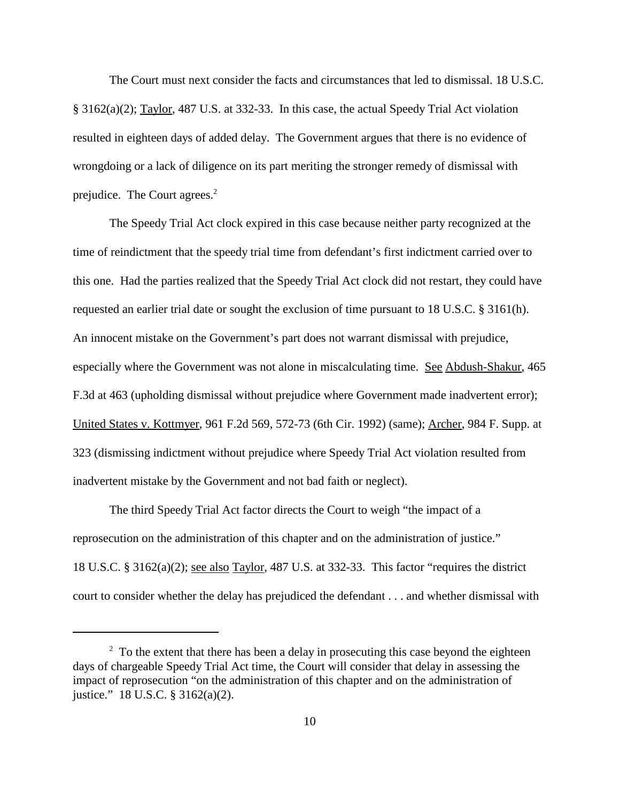The Court must next consider the facts and circumstances that led to dismissal. 18 U.S.C. § 3162(a)(2); Taylor, 487 U.S. at 332-33. In this case, the actual Speedy Trial Act violation resulted in eighteen days of added delay. The Government argues that there is no evidence of wrongdoing or a lack of diligence on its part meriting the stronger remedy of dismissal with prejudice. The Court agrees.<sup>2</sup>

The Speedy Trial Act clock expired in this case because neither party recognized at the time of reindictment that the speedy trial time from defendant's first indictment carried over to this one. Had the parties realized that the Speedy Trial Act clock did not restart, they could have requested an earlier trial date or sought the exclusion of time pursuant to 18 U.S.C. § 3161(h). An innocent mistake on the Government's part does not warrant dismissal with prejudice, especially where the Government was not alone in miscalculating time. See Abdush-Shakur, 465 F.3d at 463 (upholding dismissal without prejudice where Government made inadvertent error); United States v. Kottmyer, 961 F.2d 569, 572-73 (6th Cir. 1992) (same); Archer, 984 F. Supp. at 323 (dismissing indictment without prejudice where Speedy Trial Act violation resulted from inadvertent mistake by the Government and not bad faith or neglect).

The third Speedy Trial Act factor directs the Court to weigh "the impact of a reprosecution on the administration of this chapter and on the administration of justice." 18 U.S.C. § 3162(a)(2); see also Taylor, 487 U.S. at 332-33. This factor "requires the district court to consider whether the delay has prejudiced the defendant . . . and whether dismissal with

 $2\degree$  To the extent that there has been a delay in prosecuting this case beyond the eighteen days of chargeable Speedy Trial Act time, the Court will consider that delay in assessing the impact of reprosecution "on the administration of this chapter and on the administration of justice." 18 U.S.C. § 3162(a)(2).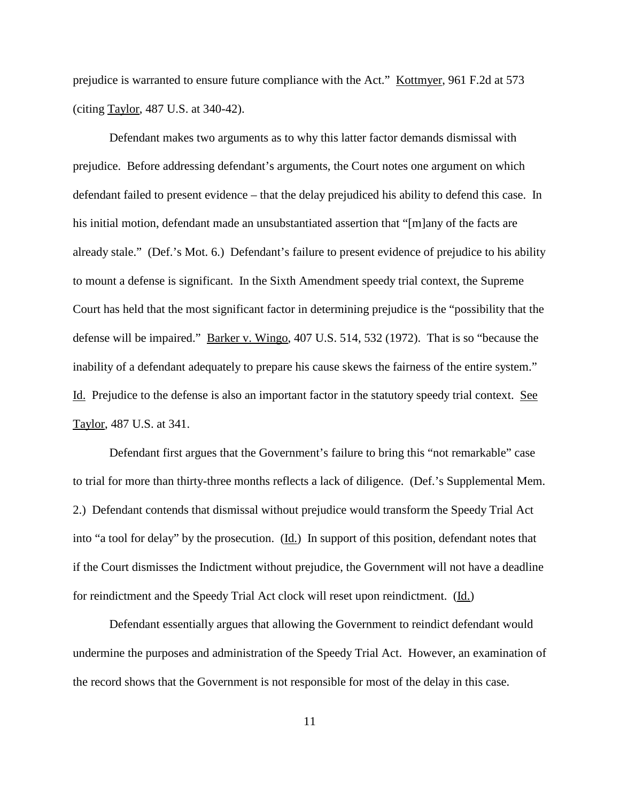prejudice is warranted to ensure future compliance with the Act." Kottmyer, 961 F.2d at 573 (citing Taylor, 487 U.S. at 340-42).

Defendant makes two arguments as to why this latter factor demands dismissal with prejudice. Before addressing defendant's arguments, the Court notes one argument on which defendant failed to present evidence – that the delay prejudiced his ability to defend this case. In his initial motion, defendant made an unsubstantiated assertion that "[m]any of the facts are already stale." (Def.'s Mot. 6.) Defendant's failure to present evidence of prejudice to his ability to mount a defense is significant. In the Sixth Amendment speedy trial context, the Supreme Court has held that the most significant factor in determining prejudice is the "possibility that the defense will be impaired." Barker v. Wingo, 407 U.S. 514, 532 (1972). That is so "because the inability of a defendant adequately to prepare his cause skews the fairness of the entire system." Id. Prejudice to the defense is also an important factor in the statutory speedy trial context. See Taylor, 487 U.S. at 341.

Defendant first argues that the Government's failure to bring this "not remarkable" case to trial for more than thirty-three months reflects a lack of diligence. (Def.'s Supplemental Mem. 2.) Defendant contends that dismissal without prejudice would transform the Speedy Trial Act into "a tool for delay" by the prosecution.  $(\underline{Id})$  In support of this position, defendant notes that if the Court dismisses the Indictment without prejudice, the Government will not have a deadline for reindictment and the Speedy Trial Act clock will reset upon reindictment. (Id.)

Defendant essentially argues that allowing the Government to reindict defendant would undermine the purposes and administration of the Speedy Trial Act. However, an examination of the record shows that the Government is not responsible for most of the delay in this case.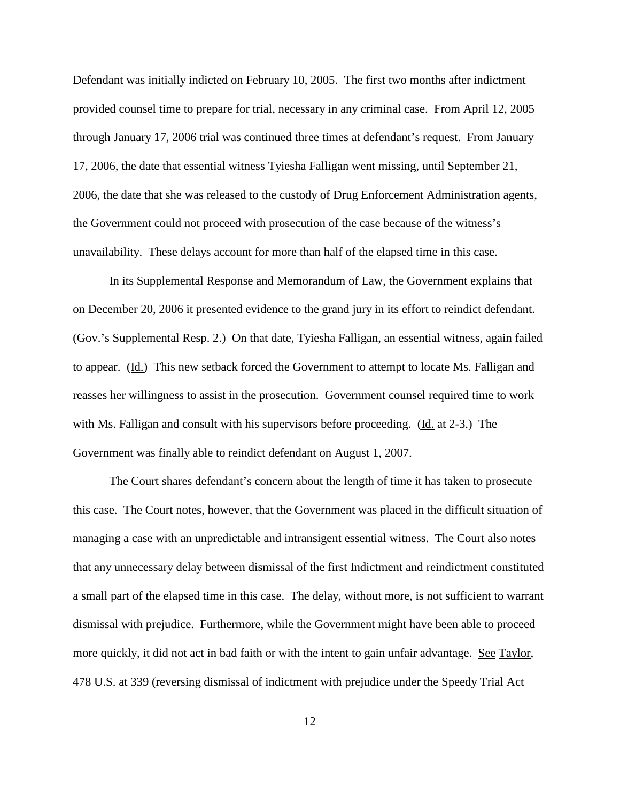Defendant was initially indicted on February 10, 2005. The first two months after indictment provided counsel time to prepare for trial, necessary in any criminal case. From April 12, 2005 through January 17, 2006 trial was continued three times at defendant's request. From January 17, 2006, the date that essential witness Tyiesha Falligan went missing, until September 21, 2006, the date that she was released to the custody of Drug Enforcement Administration agents, the Government could not proceed with prosecution of the case because of the witness's unavailability. These delays account for more than half of the elapsed time in this case.

In its Supplemental Response and Memorandum of Law, the Government explains that on December 20, 2006 it presented evidence to the grand jury in its effort to reindict defendant. (Gov.'s Supplemental Resp. 2.) On that date, Tyiesha Falligan, an essential witness, again failed to appear. (Id.) This new setback forced the Government to attempt to locate Ms. Falligan and reasses her willingness to assist in the prosecution. Government counsel required time to work with Ms. Falligan and consult with his supervisors before proceeding. (Id. at 2-3.) The Government was finally able to reindict defendant on August 1, 2007.

The Court shares defendant's concern about the length of time it has taken to prosecute this case. The Court notes, however, that the Government was placed in the difficult situation of managing a case with an unpredictable and intransigent essential witness. The Court also notes that any unnecessary delay between dismissal of the first Indictment and reindictment constituted a small part of the elapsed time in this case. The delay, without more, is not sufficient to warrant dismissal with prejudice. Furthermore, while the Government might have been able to proceed more quickly, it did not act in bad faith or with the intent to gain unfair advantage. See Taylor, 478 U.S. at 339 (reversing dismissal of indictment with prejudice under the Speedy Trial Act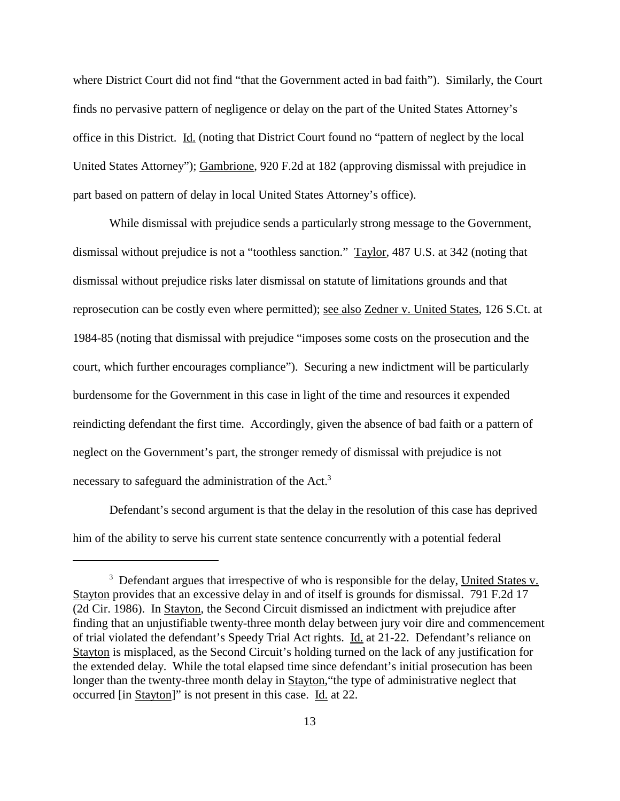where District Court did not find "that the Government acted in bad faith"). Similarly, the Court finds no pervasive pattern of negligence or delay on the part of the United States Attorney's office in this District. Id. (noting that District Court found no "pattern of neglect by the local United States Attorney"); Gambrione, 920 F.2d at 182 (approving dismissal with prejudice in part based on pattern of delay in local United States Attorney's office).

While dismissal with prejudice sends a particularly strong message to the Government, dismissal without prejudice is not a "toothless sanction." Taylor, 487 U.S. at 342 (noting that dismissal without prejudice risks later dismissal on statute of limitations grounds and that reprosecution can be costly even where permitted); see also Zedner v. United States, 126 S.Ct. at 1984-85 (noting that dismissal with prejudice "imposes some costs on the prosecution and the court, which further encourages compliance"). Securing a new indictment will be particularly burdensome for the Government in this case in light of the time and resources it expended reindicting defendant the first time. Accordingly, given the absence of bad faith or a pattern of neglect on the Government's part, the stronger remedy of dismissal with prejudice is not necessary to safeguard the administration of the Act.<sup>3</sup>

Defendant's second argument is that the delay in the resolution of this case has deprived him of the ability to serve his current state sentence concurrently with a potential federal

<sup>&</sup>lt;sup>3</sup> Defendant argues that irrespective of who is responsible for the delay, United States v. Stayton provides that an excessive delay in and of itself is grounds for dismissal. 791 F.2d 17 (2d Cir. 1986). In Stayton, the Second Circuit dismissed an indictment with prejudice after finding that an unjustifiable twenty-three month delay between jury voir dire and commencement of trial violated the defendant's Speedy Trial Act rights. Id. at 21-22. Defendant's reliance on Stayton is misplaced, as the Second Circuit's holding turned on the lack of any justification for the extended delay. While the total elapsed time since defendant's initial prosecution has been longer than the twenty-three month delay in Stayton,"the type of administrative neglect that occurred [in Stayton]" is not present in this case. Id. at 22.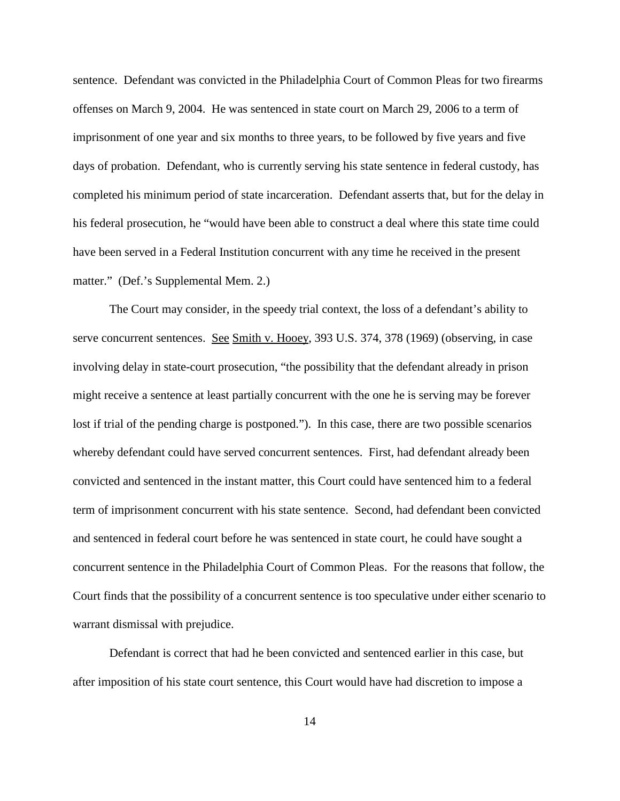sentence. Defendant was convicted in the Philadelphia Court of Common Pleas for two firearms offenses on March 9, 2004. He was sentenced in state court on March 29, 2006 to a term of imprisonment of one year and six months to three years, to be followed by five years and five days of probation. Defendant, who is currently serving his state sentence in federal custody, has completed his minimum period of state incarceration. Defendant asserts that, but for the delay in his federal prosecution, he "would have been able to construct a deal where this state time could have been served in a Federal Institution concurrent with any time he received in the present matter." (Def.'s Supplemental Mem. 2.)

The Court may consider, in the speedy trial context, the loss of a defendant's ability to serve concurrent sentences. See Smith v. Hooey, 393 U.S. 374, 378 (1969) (observing, in case involving delay in state-court prosecution, "the possibility that the defendant already in prison might receive a sentence at least partially concurrent with the one he is serving may be forever lost if trial of the pending charge is postponed."). In this case, there are two possible scenarios whereby defendant could have served concurrent sentences. First, had defendant already been convicted and sentenced in the instant matter, this Court could have sentenced him to a federal term of imprisonment concurrent with his state sentence. Second, had defendant been convicted and sentenced in federal court before he was sentenced in state court, he could have sought a concurrent sentence in the Philadelphia Court of Common Pleas. For the reasons that follow, the Court finds that the possibility of a concurrent sentence is too speculative under either scenario to warrant dismissal with prejudice.

Defendant is correct that had he been convicted and sentenced earlier in this case, but after imposition of his state court sentence, this Court would have had discretion to impose a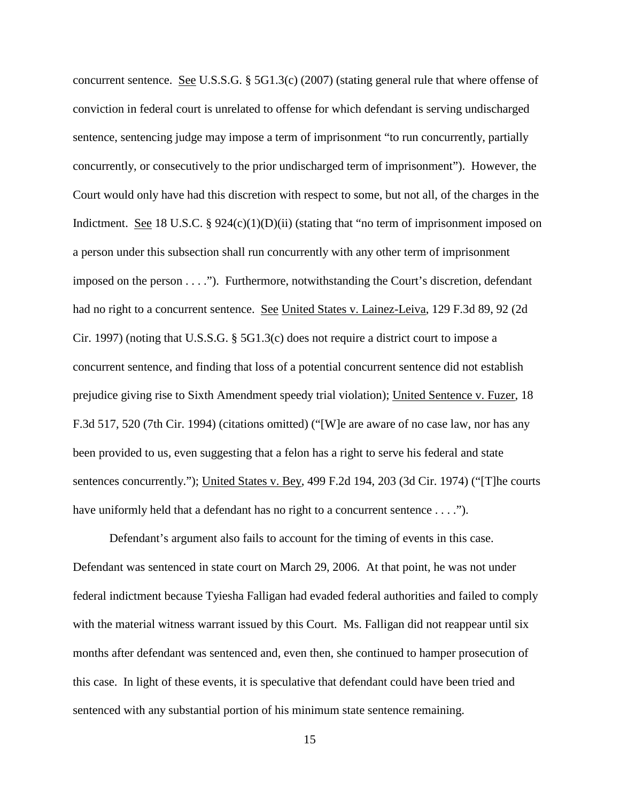concurrent sentence. See U.S.S.G. § 5G1.3(c) (2007) (stating general rule that where offense of conviction in federal court is unrelated to offense for which defendant is serving undischarged sentence, sentencing judge may impose a term of imprisonment "to run concurrently, partially concurrently, or consecutively to the prior undischarged term of imprisonment"). However, the Court would only have had this discretion with respect to some, but not all, of the charges in the Indictment. See 18 U.S.C.  $\S 924(c)(1)(D)(ii)$  (stating that "no term of imprisonment imposed on a person under this subsection shall run concurrently with any other term of imprisonment imposed on the person . . . ."). Furthermore, notwithstanding the Court's discretion, defendant had no right to a concurrent sentence. See United States v. Lainez-Leiva, 129 F.3d 89, 92 (2d) Cir. 1997) (noting that U.S.S.G. § 5G1.3(c) does not require a district court to impose a concurrent sentence, and finding that loss of a potential concurrent sentence did not establish prejudice giving rise to Sixth Amendment speedy trial violation); United Sentence v. Fuzer, 18 F.3d 517, 520 (7th Cir. 1994) (citations omitted) ("[W]e are aware of no case law, nor has any been provided to us, even suggesting that a felon has a right to serve his federal and state sentences concurrently."); United States v. Bey, 499 F.2d 194, 203 (3d Cir. 1974) ("[T]he courts have uniformly held that a defendant has no right to a concurrent sentence . . . .").

Defendant's argument also fails to account for the timing of events in this case. Defendant was sentenced in state court on March 29, 2006. At that point, he was not under federal indictment because Tyiesha Falligan had evaded federal authorities and failed to comply with the material witness warrant issued by this Court. Ms. Falligan did not reappear until six months after defendant was sentenced and, even then, she continued to hamper prosecution of this case. In light of these events, it is speculative that defendant could have been tried and sentenced with any substantial portion of his minimum state sentence remaining.

<sup>15</sup>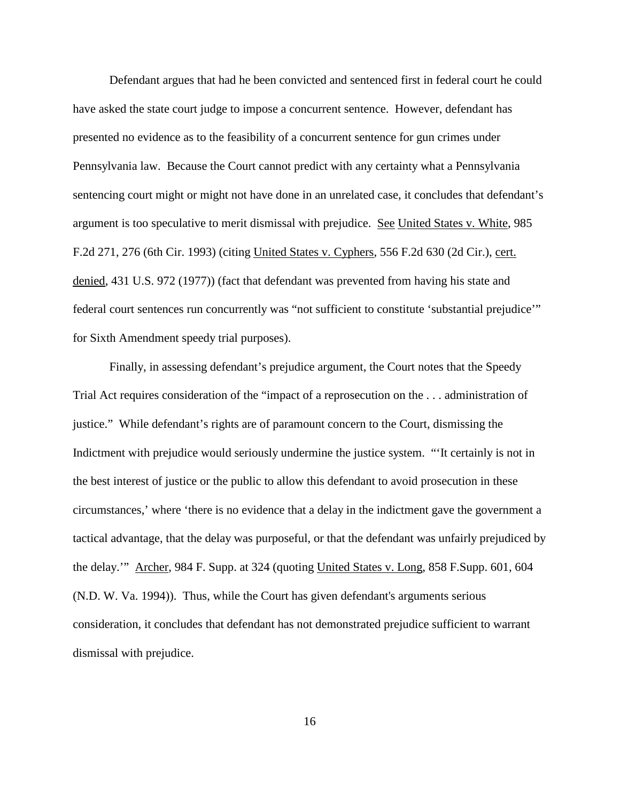Defendant argues that had he been convicted and sentenced first in federal court he could have asked the state court judge to impose a concurrent sentence. However, defendant has presented no evidence as to the feasibility of a concurrent sentence for gun crimes under Pennsylvania law. Because the Court cannot predict with any certainty what a Pennsylvania sentencing court might or might not have done in an unrelated case, it concludes that defendant's argument is too speculative to merit dismissal with prejudice. See United States v. White, 985 F.2d 271, 276 (6th Cir. 1993) (citing United States v. Cyphers, 556 F.2d 630 (2d Cir.), cert. denied, 431 U.S. 972 (1977)) (fact that defendant was prevented from having his state and federal court sentences run concurrently was "not sufficient to constitute 'substantial prejudice'" for Sixth Amendment speedy trial purposes).

Finally, in assessing defendant's prejudice argument, the Court notes that the Speedy Trial Act requires consideration of the "impact of a reprosecution on the . . . administration of justice." While defendant's rights are of paramount concern to the Court, dismissing the Indictment with prejudice would seriously undermine the justice system. "'It certainly is not in the best interest of justice or the public to allow this defendant to avoid prosecution in these circumstances,' where 'there is no evidence that a delay in the indictment gave the government a tactical advantage, that the delay was purposeful, or that the defendant was unfairly prejudiced by the delay.'" Archer, 984 F. Supp. at 324 (quoting United States v. Long, 858 F.Supp. 601, 604 (N.D. W. Va. 1994)). Thus, while the Court has given defendant's arguments serious consideration, it concludes that defendant has not demonstrated prejudice sufficient to warrant dismissal with prejudice.